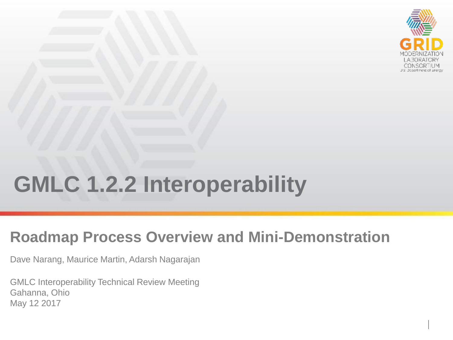

# **GMLC 1.2.2 Interoperability**

### **Roadmap Process Overview and Mini-Demonstration**

Dave Narang, Maurice Martin, Adarsh Nagarajan

GMLC Interoperability Technical Review Meeting Gahanna, Ohio May 12 2017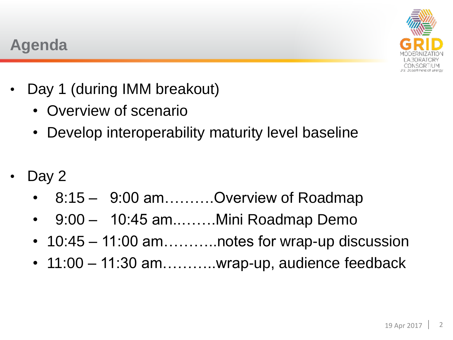

### **Agenda**

- Day 1 (during IMM breakout)
	- Overview of scenario
	- Develop interoperability maturity level baseline
- Day 2
	- 8:15 9:00 am……….Overview of Roadmap
	- 9:00 10:45 am.........Mini Roadmap Demo
	- 10:45 11:00 am...........notes for wrap-up discussion
	- 11:00 11:30 am..........wrap-up, audience feedback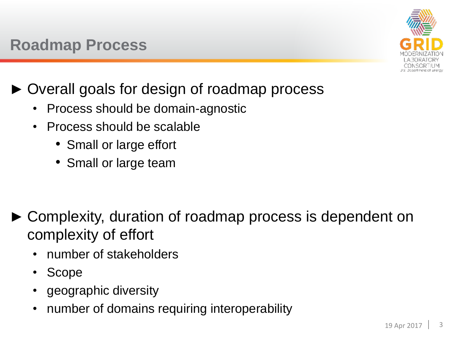

- ► Overall goals for design of roadmap process
	- Process should be domain-agnostic
	- Process should be scalable
		- Small or large effort
		- Small or large team

- ► Complexity, duration of roadmap process is dependent on complexity of effort
	- number of stakeholders
	- Scope
	- geographic diversity
	- number of domains requiring interoperability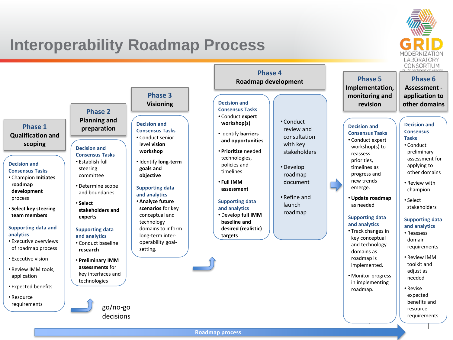## **Interoperability Roadmap Process**



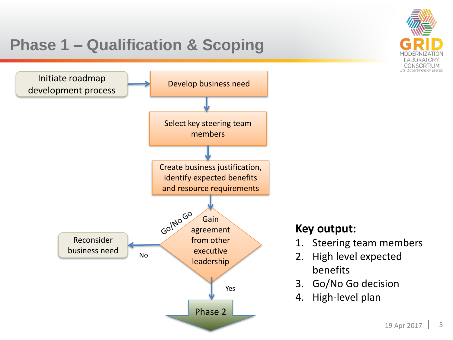

### **Key output:**

- 1. Steering team members
- 2. High level expected benefits
- 3. Go/No Go decision
- 4. High-level plan

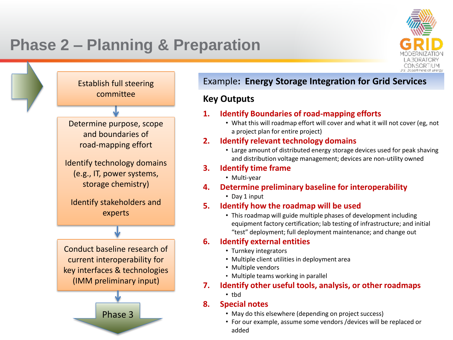# **Phase 2 – Planning & Preparation**





### Example**: Energy Storage Integration for Grid Services**

### **Key Outputs**

#### **1. Identify Boundaries of road-mapping efforts**

• What this will roadmap effort will cover and what it will not cover (eg, not a project plan for entire project)

### **2. Identify relevant technology domains**

• Large amount of distributed energy storage devices used for peak shaving and distribution voltage management; devices are non-utility owned

#### **3. Identify time frame**

• Multi-year

### **4. Determine preliminary baseline for interoperability**

• Day 1 input

### **5. Identify how the roadmap will be used**

• This roadmap will guide multiple phases of development including equipment factory certification; lab testing of infrastructure; and initial "test" deployment; full deployment maintenance; and change out

### **6. Identify external entities**

- Turnkey integrators
- Multiple client utilities in deployment area
- Multiple vendors
- Multiple teams working in parallel

### **7. Identify other useful tools, analysis, or other roadmaps**

• tbd

### **8. Special notes**

- May do this elsewhere (depending on project success)
- For our example, assume some vendors /devices will be replaced or<br>added added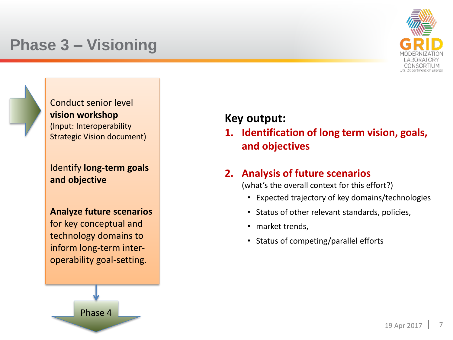### **Phase 3 – Visioning**



Conduct senior level **vision workshop**  (Input: Interoperability Strategic Vision document)

Identify **long-term goals and objective**

**Analyze future scenarios**  for key conceptual and technology domains to inform long-term interoperability goal-setting.



### **Key output:**

**1. Identification of long term vision, goals, and objectives**

### **2. Analysis of future scenarios**

(what's the overall context for this effort?)

- Expected trajectory of key domains/technologies
- Status of other relevant standards, policies,
- market trends,
- Status of competing/parallel efforts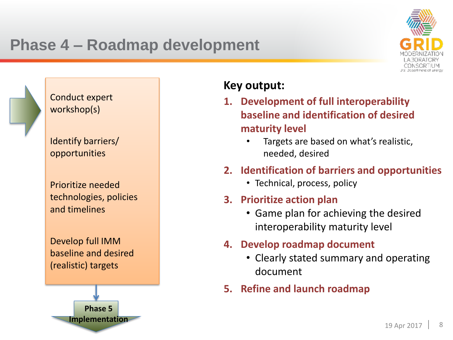## **Phase 4 – Roadmap development**



Conduct expert workshop(s)

Identify barriers/ opportunities

Prioritize needed technologies, policies and timelines

Develop full IMM baseline and desired (realistic) targets



### **Key output:**

- **1. Development of full interoperability baseline and identification of desired maturity level**
	- Targets are based on what's realistic, needed, desired
- **2. Identification of barriers and opportunities**
	- Technical, process, policy
- **3. Prioritize action plan**
	- Game plan for achieving the desired interoperability maturity level
- **4. Develop roadmap document**
	- Clearly stated summary and operating document
- **5. Refine and launch roadmap**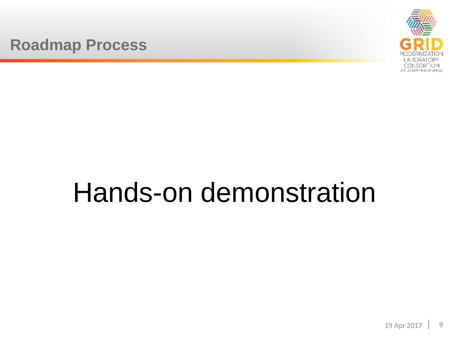### **Roadmap Process**



# Hands-on demonstration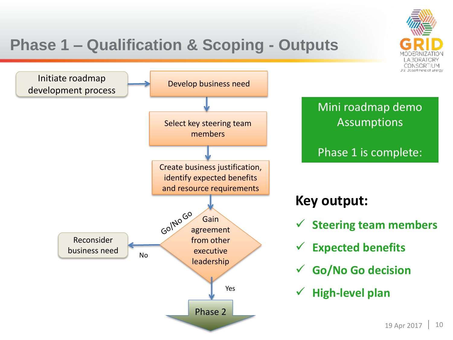

# **Phase 1 – Qualification & Scoping - Outputs**